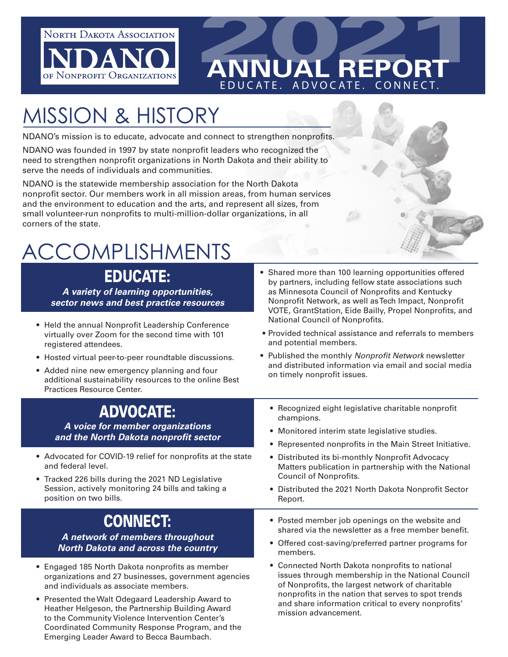

# **2021 ANNUAL REPORT** EDUCATE. ADVOCATE. CONNECT.

# MISSION & HISTORY

NDANO's mission is to educate, advocate and connect to strengthen nonprofits.

NDANO was founded in 1997 by state nonprofit leaders who recognized the need to strengthen nonprofit organizations in North Dakota and their ability to serve the needs of individuals and communities.

NDANO is the statewide membership association for the North Dakota nonprofit sector. Our members work in all mission areas, from human services and the environment to education and the arts, and represent all sizes, from small volunteer-run nonprofits to multi-million-dollar organizations, in all corners of the state.

# ACCOMPLISHMENTS

### EDUCATE:

*A variety of learning opportunities, sector news and best practice resources*

- Held the annual Nonprofit Leadership Conference virtually over Zoom for the second time with 101 registered attendees.
- Hosted virtual peer-to-peer roundtable discussions.
- Added nine new emergency planning and four additional sustainability resources to the online Best Practices Resource Center.

### ADVOCATE:

*A voice for member organizations and the North Dakota nonprofit sector*

- Advocated for COVID-19 relief for nonprofits at the state and federal level.
- Tracked 226 bills during the 2021 ND Legislative Session, actively monitoring 24 bills and taking a position on two bills.

## CONNECT:

*A network of members throughout North Dakota and across the country*

- Engaged 185 North Dakota nonprofits as member organizations and 27 businesses, government agencies and individuals as associate members.
- Presented the Walt Odegaard Leadership Award to Heather Helgeson, the Partnership Building Award to the Community Violence Intervention Center's Coordinated Community Response Program, and the Emerging Leader Award to Becca Baumbach.
- Shared more than 100 learning opportunities offered by partners, including fellow state associations such as Minnesota Council of Nonprofits and Kentucky Nonprofit Network, as well as Tech Impact, Nonprofit VOTE, GrantStation, Eide Bailly, Propel Nonprofits, and National Council of Nonprofits.
- Provided technical assistance and referrals to members and potential members.
- Published the monthly *Nonprofit Network* newsletter and distributed information via email and social media on timely nonprofit issues.
	- Recognized eight legislative charitable nonprofit champions.
	- Monitored interim state legislative studies.
	- Represented nonprofits in the Main Street Initiative.
	- Distributed its bi-monthly Nonprofit Advocacy Matters publication in partnership with the National Council of Nonprofits.
	- Distributed the 2021 North Dakota Nonprofit Sector Report.
	- Posted member job openings on the website and shared via the newsletter as a free member benefit.
	- Offered cost-saving/preferred partner programs for members.
	- Connected North Dakota nonprofits to national issues through membership in the National Council of Nonprofits, the largest network of charitable nonprofits in the nation that serves to spot trends and share information critical to every nonprofits' mission advancement.